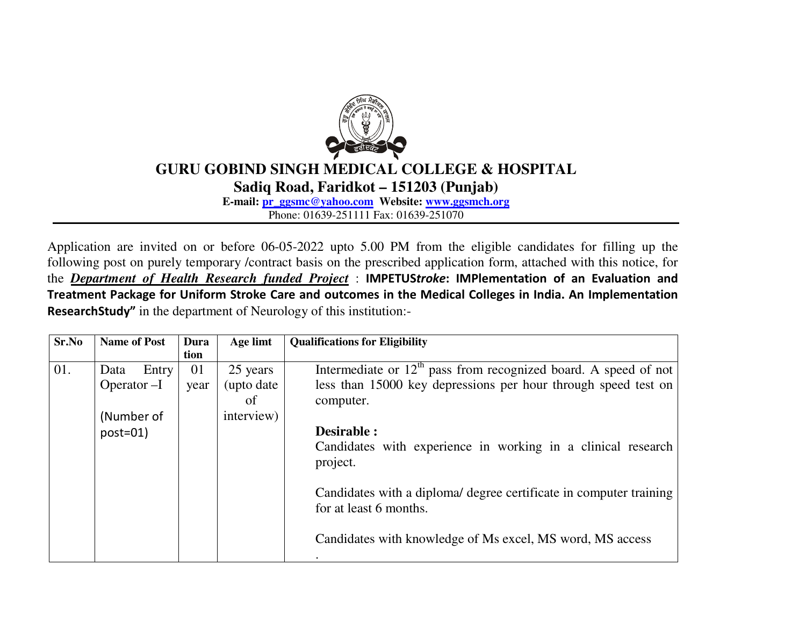

## **GURU GOBIND SINGH MEDICAL COLLEGE & HOSPITAL**

**Sadiq Road, Faridkot – 151203 (Punjab)** 

**E-mail: pr\_ggsmc@yahoo.com Website: www.ggsmch.org**

Phone: 01639-251111 Fax: 01639-251070

Application are invited on or before 06-05-2022 upto 5.00 PM from the eligible candidates for filling up the following post on purely temporary /contract basis on the prescribed application form, attached with this notice, for the *Department of Health Research funded Project* : **IMPETUS***troke***: IMPlementation of an Evaluation and Treatment Package for Uniform Stroke Care and outcomes in the Medical Colleges in India. An Implementation Research Study"** in the department of Neurology of this institution:-

| Sr.No | <b>Name of Post</b> | Dura | Age limt    | <b>Qualifications for Eligibility</b>                              |
|-------|---------------------|------|-------------|--------------------------------------------------------------------|
|       |                     | tion |             |                                                                    |
| 01.   | Entry<br>Data       | 01   | 25 years    | Intermediate or $12th$ pass from recognized board. A speed of not  |
|       | Operator $-I$       | year | (upto date) | less than 15000 key depressions per hour through speed test on     |
|       |                     |      | of          | computer.                                                          |
|       | (Number of          |      | interview)  |                                                                    |
|       | $post=01$           |      |             | Desirable :                                                        |
|       |                     |      |             | Candidates with experience in working in a clinical research       |
|       |                     |      |             | project.                                                           |
|       |                     |      |             |                                                                    |
|       |                     |      |             | Candidates with a diploma/ degree certificate in computer training |
|       |                     |      |             | for at least 6 months.                                             |
|       |                     |      |             |                                                                    |
|       |                     |      |             | Candidates with knowledge of Ms excel, MS word, MS access          |
|       |                     |      |             |                                                                    |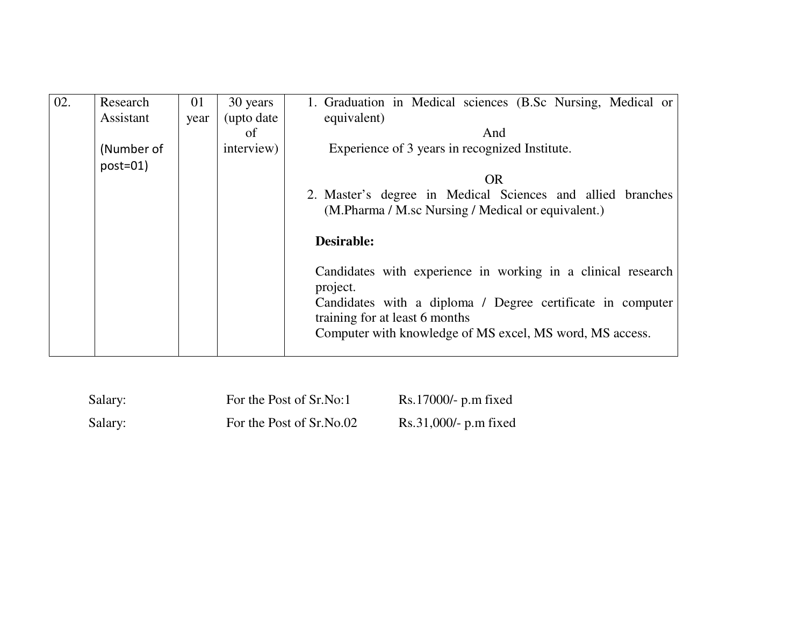| $\overline{02}$ . | Research   | 01   | 30 years    | 1. Graduation in Medical sciences (B.Sc Nursing, Medical or              |  |  |
|-------------------|------------|------|-------------|--------------------------------------------------------------------------|--|--|
|                   | Assistant  | year | (upto date) | equivalent)                                                              |  |  |
|                   |            |      | of          | And                                                                      |  |  |
|                   | (Number of |      | interview)  | Experience of 3 years in recognized Institute.                           |  |  |
|                   | $post=01$  |      |             |                                                                          |  |  |
|                   |            |      |             | <b>OR</b>                                                                |  |  |
|                   |            |      |             | 2. Master's degree in Medical Sciences and allied branches               |  |  |
|                   |            |      |             | (M.Pharma / M.sc Nursing / Medical or equivalent.)                       |  |  |
|                   |            |      |             |                                                                          |  |  |
|                   |            |      |             | <b>Desirable:</b>                                                        |  |  |
|                   |            |      |             | Candidates with experience in working in a clinical research<br>project. |  |  |
|                   |            |      |             | Candidates with a diploma / Degree certificate in computer               |  |  |
|                   |            |      |             | training for at least 6 months                                           |  |  |
|                   |            |      |             | Computer with knowledge of MS excel, MS word, MS access.                 |  |  |
|                   |            |      |             |                                                                          |  |  |

| Salary: | For the Post of Sr.No:1  | $Rs.17000/- p.m fixed$  |
|---------|--------------------------|-------------------------|
| Salary: | For the Post of Sr.No.02 | $Rs.31,000/- p.m fixed$ |